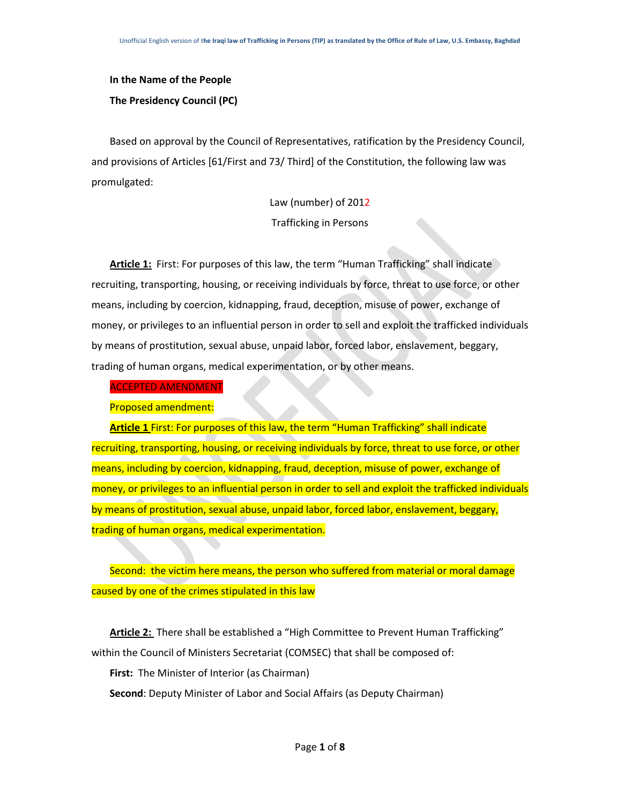# **In the Name of the People The Presidency Council (PC)**

Based on approval by the Council of Representatives, ratification by the Presidency Council, and provisions of Articles [61/First and 73/ Third] of the Constitution, the following law was promulgated:

> Law (number) of 2012 Trafficking in Persons

**Article 1:** First: For purposes of this law, the term "Human Trafficking" shall indicate recruiting, transporting, housing, or receiving individuals by force, threat to use force, or other means, including by coercion, kidnapping, fraud, deception, misuse of power, exchange of money, or privileges to an influential person in order to sell and exploit the trafficked individuals by means of prostitution, sexual abuse, unpaid labor, forced labor, enslavement, beggary, trading of human organs, medical experimentation, or by other means.

ACCEPTED AMENDMENT

Proposed amendment:

**Article 1** First: For purposes of this law, the term "Human Trafficking" shall indicate recruiting, transporting, housing, or receiving individuals by force, threat to use force, or other means, including by coercion, kidnapping, fraud, deception, misuse of power, exchange of money, or privileges to an influential person in order to sell and exploit the trafficked individuals by means of prostitution, sexual abuse, unpaid labor, forced labor, enslavement, beggary, trading of human organs, medical experimentation.

Second: the victim here means, the person who suffered from material or moral damage caused by one of the crimes stipulated in this law

**Article 2:** There shall be established a "High Committee to Prevent Human Trafficking" within the Council of Ministers Secretariat (COMSEC) that shall be composed of:

**First:** The Minister of Interior (as Chairman)

**Second**: Deputy Minister of Labor and Social Affairs (as Deputy Chairman)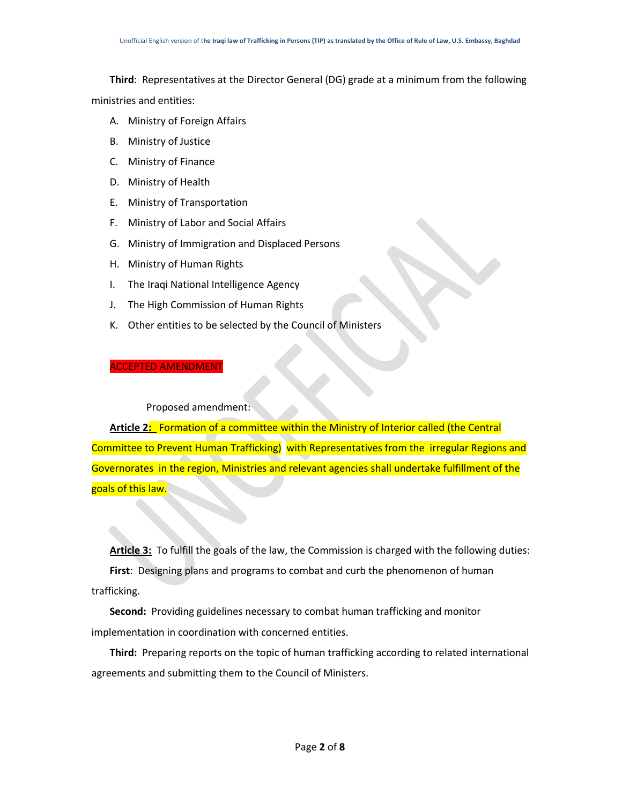**Third**: Representatives at the Director General (DG) grade at a minimum from the following ministries and entities:

- A. Ministry of Foreign Affairs
- B. Ministry of Justice
- C. Ministry of Finance
- D. Ministry of Health
- E. Ministry of Transportation
- F. Ministry of Labor and Social Affairs
- G. Ministry of Immigration and Displaced Persons
- H. Ministry of Human Rights
- I. The Iraqi National Intelligence Agency
- J. The High Commission of Human Rights
- K. Other entities to be selected by the Council of Ministers

#### ACCEPTED AMENDMENT

#### Proposed amendment:

**Article 2:** Formation of a committee within the Ministry of Interior called (the Central Committee to Prevent Human Trafficking) with Representatives from the irregular Regions and Governorates in the region, Ministries and relevant agencies shall undertake fulfillment of the goals of this law.

**Article 3:** To fulfill the goals of the law, the Commission is charged with the following duties: **First**: Designing plans and programs to combat and curb the phenomenon of human trafficking.

**Second:** Providing guidelines necessary to combat human trafficking and monitor implementation in coordination with concerned entities.

**Third:** Preparing reports on the topic of human trafficking according to related international agreements and submitting them to the Council of Ministers.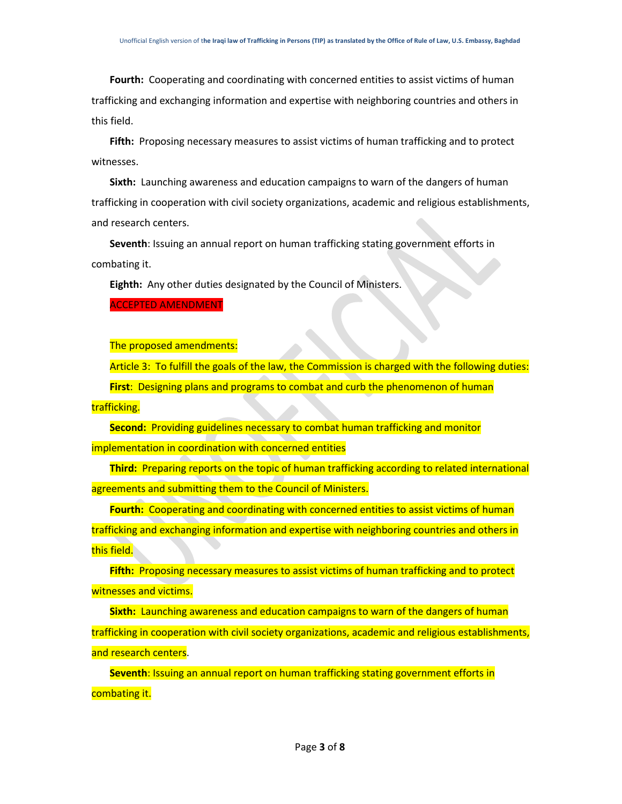**Fourth:** Cooperating and coordinating with concerned entities to assist victims of human trafficking and exchanging information and expertise with neighboring countries and others in this field.

**Fifth:** Proposing necessary measures to assist victims of human trafficking and to protect witnesses.

**Sixth:** Launching awareness and education campaigns to warn of the dangers of human trafficking in cooperation with civil society organizations, academic and religious establishments, and research centers.

**Seventh**: Issuing an annual report on human trafficking stating government efforts in combating it.

**Eighth:** Any other duties designated by the Council of Ministers.

ACCEPTED AMENDMENT

The proposed amendments:

Article 3: To fulfill the goals of the law, the Commission is charged with the following duties:

**First**: Designing plans and programs to combat and curb the phenomenon of human

trafficking.

**Second:** Providing guidelines necessary to combat human trafficking and monitor implementation in coordination with concerned entities

**Third:** Preparing reports on the topic of human trafficking according to related international agreements and submitting them to the Council of Ministers.

**Fourth:** Cooperating and coordinating with concerned entities to assist victims of human trafficking and exchanging information and expertise with neighboring countries and others in this field.

**Fifth:** Proposing necessary measures to assist victims of human trafficking and to protect witnesses and victims.

**Sixth:** Launching awareness and education campaigns to warn of the dangers of human trafficking in cooperation with civil society organizations, academic and religious establishments, and research centers.

**Seventh**: Issuing an annual report on human trafficking stating government efforts in combating it.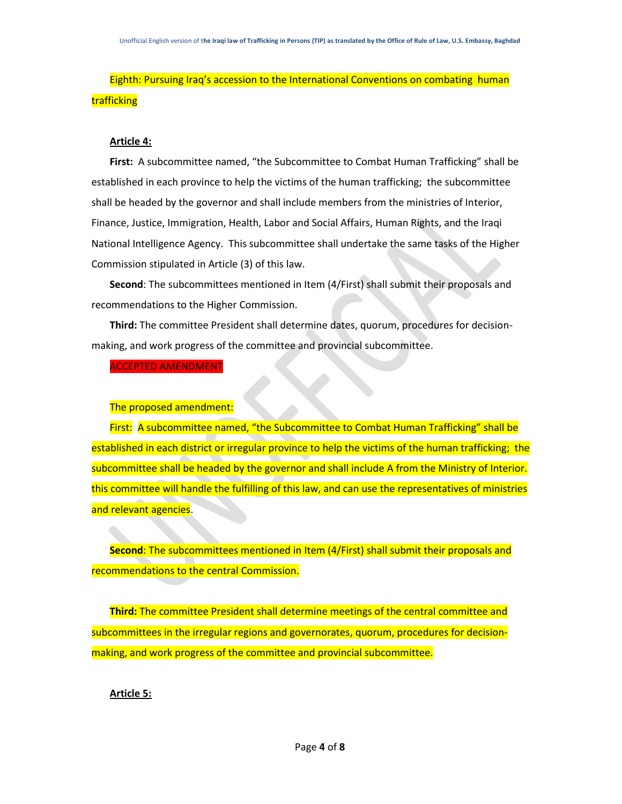# Eighth: Pursuing Iraq's accession to the International Conventions on combating human trafficking

## **Article 4:**

**First:** A subcommittee named, "the Subcommittee to Combat Human Trafficking" shall be established in each province to help the victims of the human trafficking; the subcommittee shall be headed by the governor and shall include members from the ministries of Interior, Finance, Justice, Immigration, Health, Labor and Social Affairs, Human Rights, and the Iraqi National Intelligence Agency. This subcommittee shall undertake the same tasks of the Higher Commission stipulated in Article (3) of this law.

**Second**: The subcommittees mentioned in Item (4/First) shall submit their proposals and recommendations to the Higher Commission.

**Third:** The committee President shall determine dates, quorum, procedures for decisionmaking, and work progress of the committee and provincial subcommittee.

ACCEPTED AMENDMENT

The proposed amendment:

First: A subcommittee named, "the Subcommittee to Combat Human Trafficking" shall be established in each district or irregular province to help the victims of the human trafficking; the subcommittee shall be headed by the governor and shall include A from the Ministry of Interior. this committee will handle the fulfilling of this law, and can use the representatives of ministries and relevant agencies.

**Second**: The subcommittees mentioned in Item (4/First) shall submit their proposals and recommendations to the central Commission.

**Third:** The committee President shall determine meetings of the central committee and subcommittees in the irregular regions and governorates, quorum, procedures for decisionmaking, and work progress of the committee and provincial subcommittee.

### **Article 5:**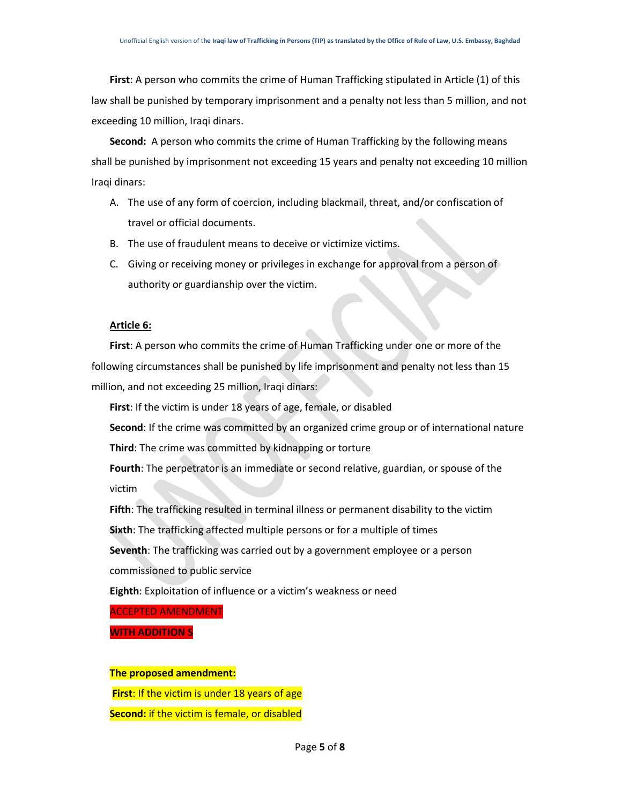**First**: A person who commits the crime of Human Trafficking stipulated in Article (1) of this law shall be punished by temporary imprisonment and a penalty not less than 5 million, and not exceeding 10 million, Iraqi dinars.

**Second:** A person who commits the crime of Human Trafficking by the following means shall be punished by imprisonment not exceeding 15 years and penalty not exceeding 10 million Iraqi dinars:

- A. The use of any form of coercion, including blackmail, threat, and/or confiscation of travel or official documents.
- B. The use of fraudulent means to deceive or victimize victims.
- C. Giving or receiving money or privileges in exchange for approval from a person of authority or guardianship over the victim.

#### **Article 6:**

**First**: A person who commits the crime of Human Trafficking under one or more of the following circumstances shall be punished by life imprisonment and penalty not less than 15 million, and not exceeding 25 million, Iraqi dinars:

**First**: If the victim is under 18 years of age, female, or disabled

**Second**: If the crime was committed by an organized crime group or of international nature

**Third**: The crime was committed by kidnapping or torture

**Fourth**: The perpetrator is an immediate or second relative, guardian, or spouse of the victim

**Fifth**: The trafficking resulted in terminal illness or permanent disability to the victim

**Sixth**: The trafficking affected multiple persons or for a multiple of times

**Seventh**: The trafficking was carried out by a government employee or a person

commissioned to public service

**Eighth**: Exploitation of influence or a victim's weakness or need

ACCEPTED AMENDMENT

**WITH ADDITION S**

#### **The proposed amendment:**

**First**: If the victim is under 18 years of age

**Second:** if the victim is female, or disabled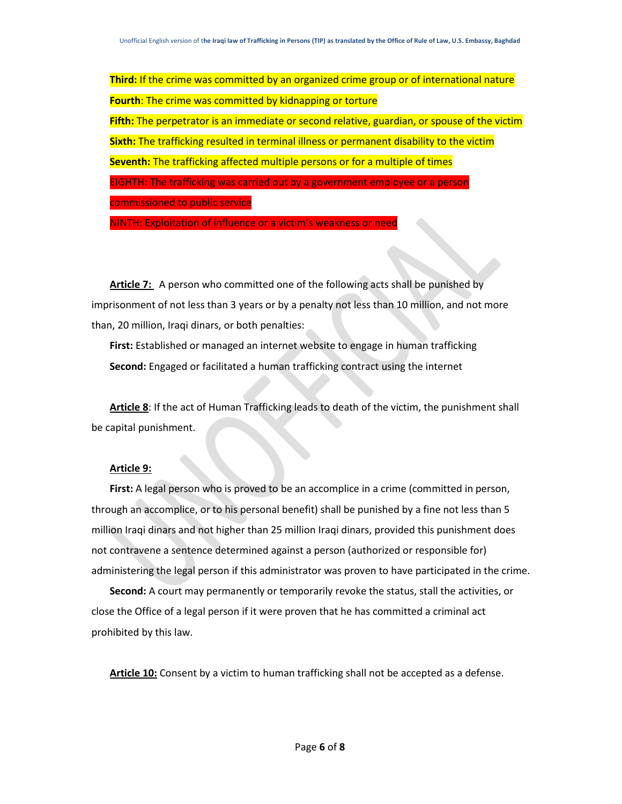**Third:** If the crime was committed by an organized crime group or of international nature **Fourth**: The crime was committed by kidnapping or torture **Fifth:** The perpetrator is an immediate or second relative, guardian, or spouse of the victim **Sixth:** The trafficking resulted in terminal illness or permanent disability to the victim **Seventh:** The trafficking affected multiple persons or for a multiple of times EIGHTH: The trafficking was carried out by a government employee or a person commissioned to public service

NINTH: Exploitation of influence or a victim's weakness or need

Article 7: A person who committed one of the following acts shall be punished by imprisonment of not less than 3 years or by a penalty not less than 10 million, and not more than, 20 million, Iraqi dinars, or both penalties:

**First:** Established or managed an internet website to engage in human trafficking **Second:** Engaged or facilitated a human trafficking contract using the internet

**Article 8**: If the act of Human Trafficking leads to death of the victim, the punishment shall be capital punishment.

#### **Article 9:**

**First:** A legal person who is proved to be an accomplice in a crime (committed in person, through an accomplice, or to his personal benefit) shall be punished by a fine not less than 5 million Iraqi dinars and not higher than 25 million Iraqi dinars, provided this punishment does not contravene a sentence determined against a person (authorized or responsible for) administering the legal person if this administrator was proven to have participated in the crime.

**Second:** A court may permanently or temporarily revoke the status, stall the activities, or close the Office of a legal person if it were proven that he has committed a criminal act prohibited by this law.

**Article 10:** Consent by a victim to human trafficking shall not be accepted as a defense.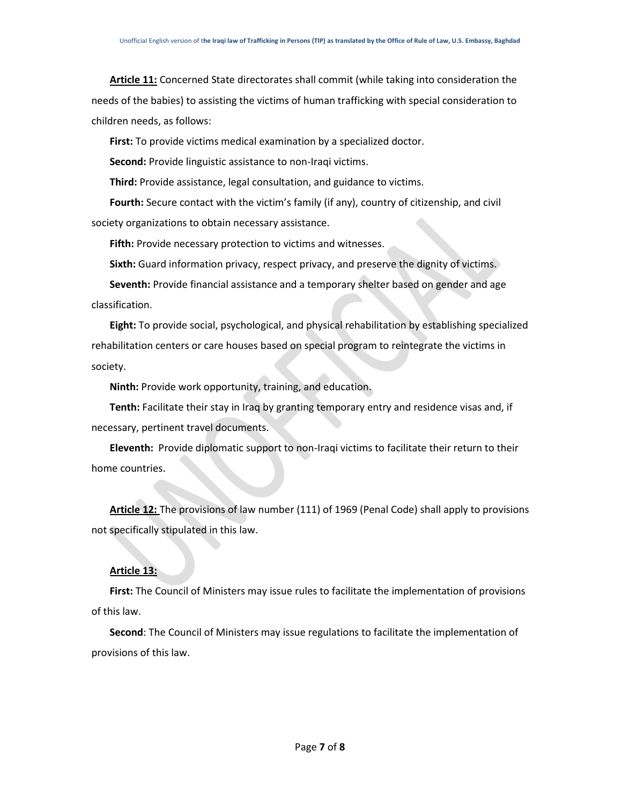**Article 11:** Concerned State directorates shall commit (while taking into consideration the needs of the babies) to assisting the victims of human trafficking with special consideration to children needs, as follows:

**First:** To provide victims medical examination by a specialized doctor.

**Second:** Provide linguistic assistance to non-Iraqi victims.

**Third:** Provide assistance, legal consultation, and guidance to victims.

**Fourth:** Secure contact with the victim's family (if any), country of citizenship, and civil society organizations to obtain necessary assistance.

**Fifth:** Provide necessary protection to victims and witnesses.

**Sixth:** Guard information privacy, respect privacy, and preserve the dignity of victims.

**Seventh:** Provide financial assistance and a temporary shelter based on gender and age classification.

**Eight:** To provide social, psychological, and physical rehabilitation by establishing specialized rehabilitation centers or care houses based on special program to reintegrate the victims in society.

**Ninth:** Provide work opportunity, training, and education.

**Tenth:** Facilitate their stay in Iraq by granting temporary entry and residence visas and, if necessary, pertinent travel documents.

**Eleventh:** Provide diplomatic support to non-Iraqi victims to facilitate their return to their home countries.

**Article 12:** The provisions of law number (111) of 1969 (Penal Code) shall apply to provisions not specifically stipulated in this law.

### **Article 13:**

**First:** The Council of Ministers may issue rules to facilitate the implementation of provisions of this law.

**Second**: The Council of Ministers may issue regulations to facilitate the implementation of provisions of this law.